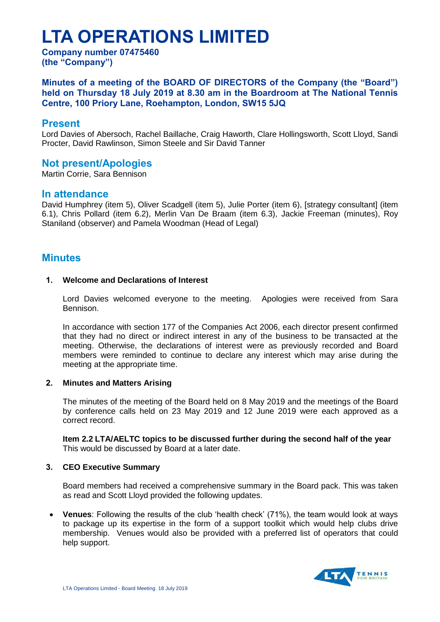# **LTA OPERATIONS LIMITED**

**Company number 07475460 (the "Company")**

**Minutes of a meeting of the BOARD OF DIRECTORS of the Company (the "Board") held on Thursday 18 July 2019 at 8.30 am in the Boardroom at The National Tennis Centre, 100 Priory Lane, Roehampton, London, SW15 5JQ**

# **Present**

Lord Davies of Abersoch, Rachel Baillache, Craig Haworth, Clare Hollingsworth, Scott Lloyd, Sandi Procter, David Rawlinson, Simon Steele and Sir David Tanner

# **Not present/Apologies**

Martin Corrie, Sara Bennison

# **In attendance**

David Humphrey (item 5), Oliver Scadgell (item 5), Julie Porter (item 6), [strategy consultant] (item 6.1), Chris Pollard (item 6.2), Merlin Van De Braam (item 6.3), Jackie Freeman (minutes), Roy Staniland (observer) and Pamela Woodman (Head of Legal)

# **Minutes**

## **1. Welcome and Declarations of Interest**

Lord Davies welcomed everyone to the meeting.Apologies were received from Sara Bennison.

In accordance with section 177 of the Companies Act 2006, each director present confirmed that they had no direct or indirect interest in any of the business to be transacted at the meeting. Otherwise, the declarations of interest were as previously recorded and Board members were reminded to continue to declare any interest which may arise during the meeting at the appropriate time.

# **2. Minutes and Matters Arising**

The minutes of the meeting of the Board held on 8 May 2019 and the meetings of the Board by conference calls held on 23 May 2019 and 12 June 2019 were each approved as a correct record.

**Item 2.2 LTA/AELTC topics to be discussed further during the second half of the year** This would be discussed by Board at a later date.

# **3. CEO Executive Summary**

Board members had received a comprehensive summary in the Board pack. This was taken as read and Scott Lloyd provided the following updates.

 **Venues**: Following the results of the club 'health check' (71%), the team would look at ways to package up its expertise in the form of a support toolkit which would help clubs drive membership. Venues would also be provided with a preferred list of operators that could help support.

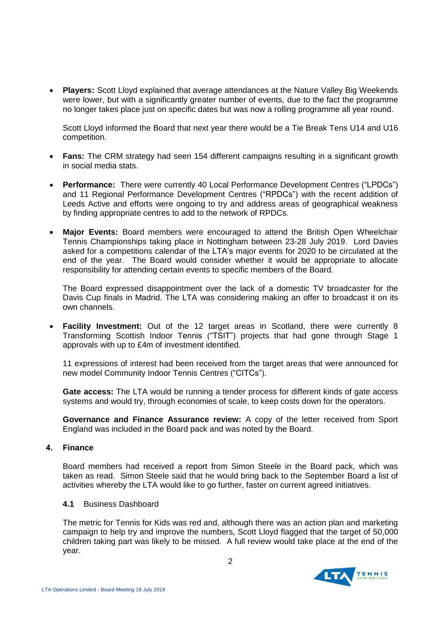**Players:** Scott Lloyd explained that average attendances at the Nature Valley Big Weekends were lower, but with a significantly greater number of events, due to the fact the programme no longer takes place just on specific dates but was now a rolling programme all year round.

Scott Lloyd informed the Board that next year there would be a Tie Break Tens U14 and U16 competition.

- **Fans:** The CRM strategy had seen 154 different campaigns resulting in a significant growth in social media stats.
- **Performance:** There were currently 40 Local Performance Development Centres ("LPDCs") and 11 Regional Performance Development Centres ("RPDCs") with the recent addition of Leeds Active and efforts were ongoing to try and address areas of geographical weakness by finding appropriate centres to add to the network of RPDCs.
- **Major Events:** Board members were encouraged to attend the British Open Wheelchair Tennis Championships taking place in Nottingham between 23-28 July 2019. Lord Davies asked for a competitions calendar of the LTA's major events for 2020 to be circulated at the end of the year. The Board would consider whether it would be appropriate to allocate responsibility for attending certain events to specific members of the Board.

The Board expressed disappointment over the lack of a domestic TV broadcaster for the Davis Cup finals in Madrid. The LTA was considering making an offer to broadcast it on its own channels.

 **Facility Investment:** Out of the 12 target areas in Scotland, there were currently 8 Transforming Scottish Indoor Tennis ("TSIT") projects that had gone through Stage 1 approvals with up to £4m of investment identified.

11 expressions of interest had been received from the target areas that were announced for new model Community Indoor Tennis Centres ("CITCs").

**Gate access:** The LTA would be running a tender process for different kinds of gate access systems and would try, through economies of scale, to keep costs down for the operators.

**Governance and Finance Assurance review:** A copy of the letter received from Sport England was included in the Board pack and was noted by the Board.

# **4. Finance**

Board members had received a report from Simon Steele in the Board pack, which was taken as read. Simon Steele said that he would bring back to the September Board a list of activities whereby the LTA would like to go further, faster on current agreed initiatives.

### **4.1** Business Dashboard

The metric for Tennis for Kids was red and, although there was an action plan and marketing campaign to help try and improve the numbers, Scott Lloyd flagged that the target of 50,000 children taking part was likely to be missed. A full review would take place at the end of the year.

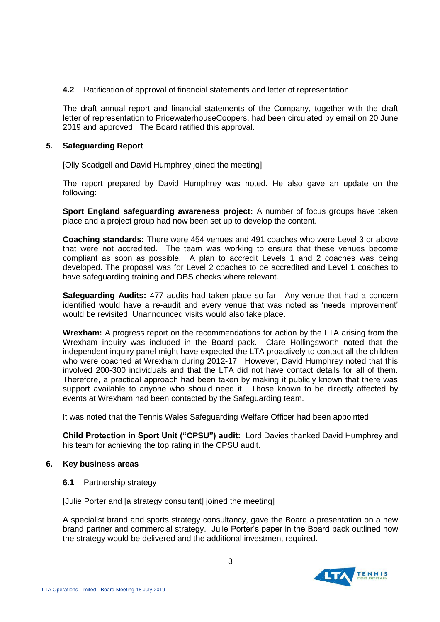**4.2** Ratification of approval of financial statements and letter of representation

The draft annual report and financial statements of the Company, together with the draft letter of representation to PricewaterhouseCoopers, had been circulated by email on 20 June 2019 and approved. The Board ratified this approval.

## **5. Safeguarding Report**

[Olly Scadgell and David Humphrey joined the meeting]

The report prepared by David Humphrey was noted. He also gave an update on the following:

**Sport England safeguarding awareness project:** A number of focus groups have taken place and a project group had now been set up to develop the content.

**Coaching standards:** There were 454 venues and 491 coaches who were Level 3 or above that were not accredited. The team was working to ensure that these venues become compliant as soon as possible. A plan to accredit Levels 1 and 2 coaches was being developed. The proposal was for Level 2 coaches to be accredited and Level 1 coaches to have safeguarding training and DBS checks where relevant.

**Safeguarding Audits:** 477 audits had taken place so far. Any venue that had a concern identified would have a re-audit and every venue that was noted as 'needs improvement' would be revisited. Unannounced visits would also take place.

**Wrexham:** A progress report on the recommendations for action by the LTA arising from the Wrexham inquiry was included in the Board pack. Clare Hollingsworth noted that the independent inquiry panel might have expected the LTA proactively to contact all the children who were coached at Wrexham during 2012-17. However, David Humphrey noted that this involved 200-300 individuals and that the LTA did not have contact details for all of them. Therefore, a practical approach had been taken by making it publicly known that there was support available to anyone who should need it. Those known to be directly affected by events at Wrexham had been contacted by the Safeguarding team.

It was noted that the Tennis Wales Safeguarding Welfare Officer had been appointed.

**Child Protection in Sport Unit ("CPSU") audit:** Lord Davies thanked David Humphrey and his team for achieving the top rating in the CPSU audit.

### **6. Key business areas**

**6.1** Partnership strategy

[Julie Porter and [a strategy consultant] joined the meeting]

A specialist brand and sports strategy consultancy, gave the Board a presentation on a new brand partner and commercial strategy. Julie Porter's paper in the Board pack outlined how the strategy would be delivered and the additional investment required.

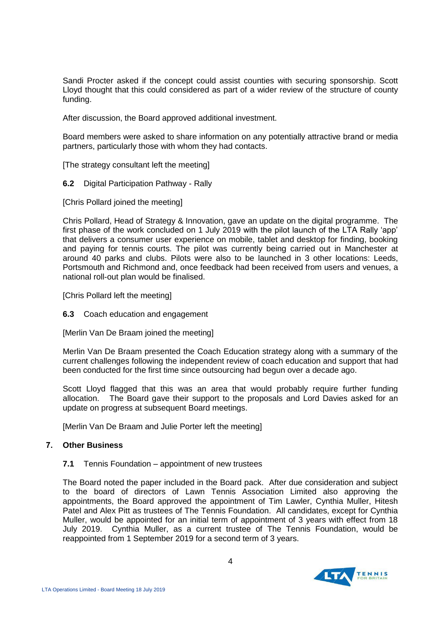Sandi Procter asked if the concept could assist counties with securing sponsorship. Scott Lloyd thought that this could considered as part of a wider review of the structure of county funding.

After discussion, the Board approved additional investment.

Board members were asked to share information on any potentially attractive brand or media partners, particularly those with whom they had contacts.

[The strategy consultant left the meeting]

**6.2** Digital Participation Pathway - Rally

[Chris Pollard joined the meeting]

Chris Pollard, Head of Strategy & Innovation, gave an update on the digital programme. The first phase of the work concluded on 1 July 2019 with the pilot launch of the LTA Rally 'app' that delivers a consumer user experience on mobile, tablet and desktop for finding, booking and paying for tennis courts. The pilot was currently being carried out in Manchester at around 40 parks and clubs. Pilots were also to be launched in 3 other locations: Leeds, Portsmouth and Richmond and, once feedback had been received from users and venues, a national roll-out plan would be finalised.

[Chris Pollard left the meeting]

**6.3** Coach education and engagement

[Merlin Van De Braam joined the meeting]

Merlin Van De Braam presented the Coach Education strategy along with a summary of the current challenges following the independent review of coach education and support that had been conducted for the first time since outsourcing had begun over a decade ago.

Scott Lloyd flagged that this was an area that would probably require further funding allocation. The Board gave their support to the proposals and Lord Davies asked for an update on progress at subsequent Board meetings.

[Merlin Van De Braam and Julie Porter left the meeting]

# **7. Other Business**

### **7.1** Tennis Foundation – appointment of new trustees

The Board noted the paper included in the Board pack. After due consideration and subject to the board of directors of Lawn Tennis Association Limited also approving the appointments, the Board approved the appointment of Tim Lawler, Cynthia Muller, Hitesh Patel and Alex Pitt as trustees of The Tennis Foundation. All candidates, except for Cynthia Muller, would be appointed for an initial term of appointment of 3 years with effect from 18 July 2019. Cynthia Muller, as a current trustee of The Tennis Foundation, would be reappointed from 1 September 2019 for a second term of 3 years.

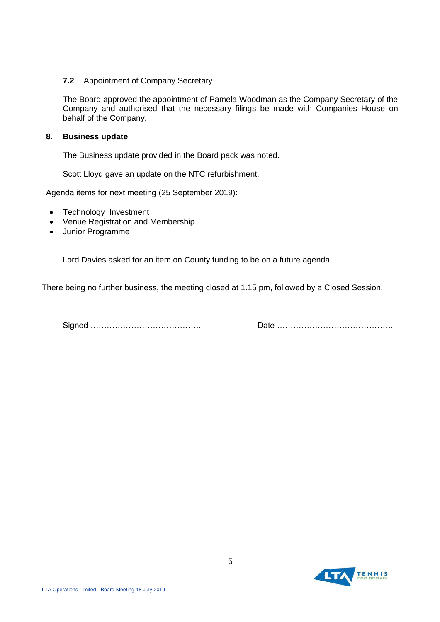## **7.2** Appointment of Company Secretary

The Board approved the appointment of Pamela Woodman as the Company Secretary of the Company and authorised that the necessary filings be made with Companies House on behalf of the Company.

## **8. Business update**

The Business update provided in the Board pack was noted.

Scott Lloyd gave an update on the NTC refurbishment.

Agenda items for next meeting (25 September 2019):

- Technology Investment
- Venue Registration and Membership
- Junior Programme

Lord Davies asked for an item on County funding to be on a future agenda.

There being no further business, the meeting closed at 1.15 pm, followed by a Closed Session.

Signed ………………………………….. Date …………………………………….

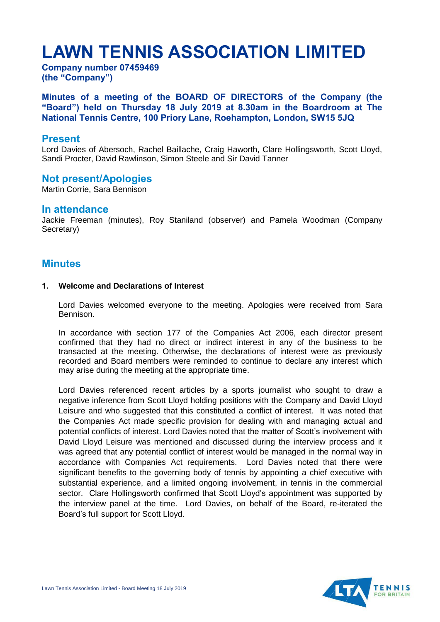# **LAWN TENNIS ASSOCIATION LIMITED**

**Company number 07459469 (the "Company")**

**Minutes of a meeting of the BOARD OF DIRECTORS of the Company (the "Board") held on Thursday 18 July 2019 at 8.30am in the Boardroom at The National Tennis Centre, 100 Priory Lane, Roehampton, London, SW15 5JQ**

# **Present**

Lord Davies of Abersoch, Rachel Baillache, Craig Haworth, Clare Hollingsworth, Scott Lloyd, Sandi Procter, David Rawlinson, Simon Steele and Sir David Tanner

# **Not present/Apologies**

Martin Corrie, Sara Bennison

# **In attendance**

Jackie Freeman (minutes), Roy Staniland (observer) and Pamela Woodman (Company Secretary)

# **Minutes**

### **1. Welcome and Declarations of Interest**

Lord Davies welcomed everyone to the meeting. Apologies were received from Sara Bennison.

In accordance with section 177 of the Companies Act 2006, each director present confirmed that they had no direct or indirect interest in any of the business to be transacted at the meeting. Otherwise, the declarations of interest were as previously recorded and Board members were reminded to continue to declare any interest which may arise during the meeting at the appropriate time.

Lord Davies referenced recent articles by a sports journalist who sought to draw a negative inference from Scott Lloyd holding positions with the Company and David Lloyd Leisure and who suggested that this constituted a conflict of interest. It was noted that the Companies Act made specific provision for dealing with and managing actual and potential conflicts of interest. Lord Davies noted that the matter of Scott's involvement with David Lloyd Leisure was mentioned and discussed during the interview process and it was agreed that any potential conflict of interest would be managed in the normal way in accordance with Companies Act requirements. Lord Davies noted that there were significant benefits to the governing body of tennis by appointing a chief executive with substantial experience, and a limited ongoing involvement, in tennis in the commercial sector. Clare Hollingsworth confirmed that Scott Lloyd's appointment was supported by the interview panel at the time. Lord Davies, on behalf of the Board, re-iterated the Board's full support for Scott Lloyd.

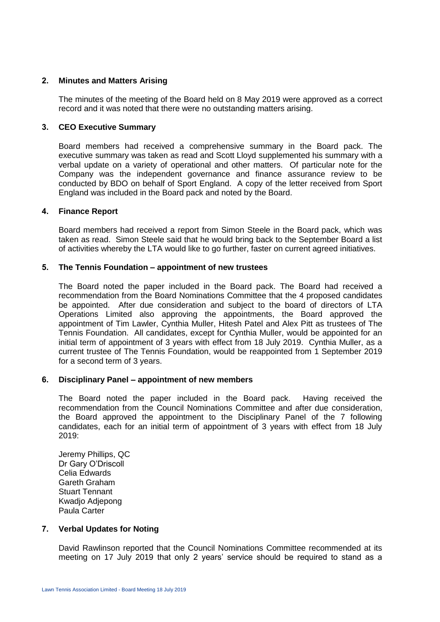# **2. Minutes and Matters Arising**

The minutes of the meeting of the Board held on 8 May 2019 were approved as a correct record and it was noted that there were no outstanding matters arising.

## **3. CEO Executive Summary**

Board members had received a comprehensive summary in the Board pack. The executive summary was taken as read and Scott Lloyd supplemented his summary with a verbal update on a variety of operational and other matters. Of particular note for the Company was the independent governance and finance assurance review to be conducted by BDO on behalf of Sport England. A copy of the letter received from Sport England was included in the Board pack and noted by the Board.

### **4. Finance Report**

Board members had received a report from Simon Steele in the Board pack, which was taken as read. Simon Steele said that he would bring back to the September Board a list of activities whereby the LTA would like to go further, faster on current agreed initiatives.

## **5. The Tennis Foundation – appointment of new trustees**

The Board noted the paper included in the Board pack. The Board had received a recommendation from the Board Nominations Committee that the 4 proposed candidates be appointed. After due consideration and subject to the board of directors of LTA Operations Limited also approving the appointments, the Board approved the appointment of Tim Lawler, Cynthia Muller, Hitesh Patel and Alex Pitt as trustees of The Tennis Foundation. All candidates, except for Cynthia Muller, would be appointed for an initial term of appointment of 3 years with effect from 18 July 2019. Cynthia Muller, as a current trustee of The Tennis Foundation, would be reappointed from 1 September 2019 for a second term of 3 years.

### **6. Disciplinary Panel – appointment of new members**

The Board noted the paper included in the Board pack. Having received the recommendation from the Council Nominations Committee and after due consideration, the Board approved the appointment to the Disciplinary Panel of the 7 following candidates, each for an initial term of appointment of 3 years with effect from 18 July 2019:

Jeremy Phillips, QC Dr Gary O'Driscoll Celia Edwards Gareth Graham Stuart Tennant Kwadjo Adjepong Paula Carter

# **7. Verbal Updates for Noting**

David Rawlinson reported that the Council Nominations Committee recommended at its meeting on 17 July 2019 that only 2 years' service should be required to stand as a